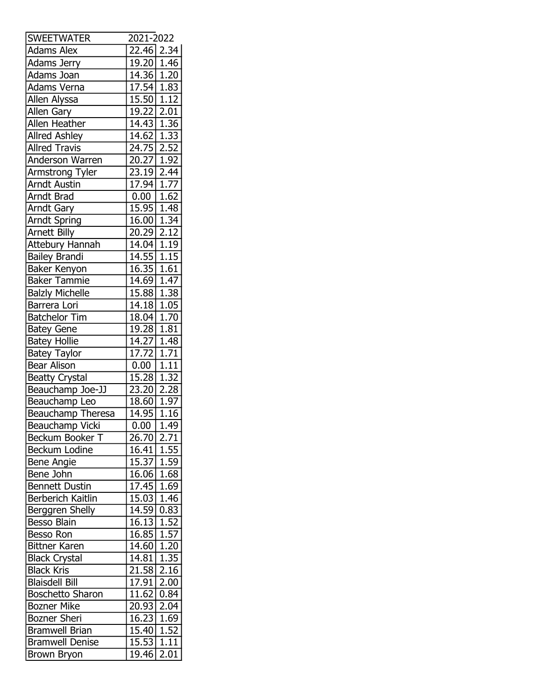| <b>SWEETWATER</b>       | 2021-2022               |                   |
|-------------------------|-------------------------|-------------------|
| <b>Adams Alex</b>       | 22.46 2.34              |                   |
| <b>Adams Jerry</b>      | 19.20 1.46              |                   |
| Adams Joan              | 14.36 1.20              |                   |
| Adams Verna             | 17.54                   | 1.83              |
| Allen Alyssa            | 15.50                   | 1.12              |
| Allen Gary              | 19.22 2.01              |                   |
| <b>Allen Heather</b>    | 14.43                   | 1.36              |
| <b>Allred Ashley</b>    | 14.62                   | 1.33              |
| <b>Allred Travis</b>    | $\overline{24.75}$ 2.52 |                   |
| <b>Anderson Warren</b>  | 20.27                   | 1.92              |
| Armstrong Tyler         | 23.19                   | 2.44              |
| <b>Arndt Austin</b>     | 17.94                   | 1.77              |
| <b>Arndt Brad</b>       | 0.00                    | 1.62              |
| <b>Arndt Gary</b>       | 15.95                   | 1.48              |
| <b>Arndt Spring</b>     | 16.00                   | 1.34              |
| <b>Arnett Billy</b>     | 20.29                   | 2.12              |
| <b>Attebury Hannah</b>  | 14.04                   | 1.19              |
|                         |                         | 1.15              |
| <b>Bailey Brandi</b>    | 14.55                   |                   |
| Baker Kenyon            | 16.35                   | 1.61              |
| <b>Baker Tammie</b>     | 14.69                   | 1.47              |
| <b>Balzly Michelle</b>  | 15.88                   | 1.38              |
| Barrera Lori            | 14.18                   | 1.05              |
| <b>Batchelor Tim</b>    | 18.04                   | 1.70              |
| <b>Batey Gene</b>       | 19.28                   | 1.81              |
| <b>Batey Hollie</b>     | 14.27                   | 1.48              |
| <b>Batey Taylor</b>     | 17.72                   | 1.71              |
| Bear Alison             | 0.00                    | 1.11              |
| <b>Beatty Crystal</b>   | 15.28                   | 1.32              |
| Beauchamp Joe-JJ        | $\overline{23.20}$      | 2.28              |
| Beauchamp Leo           | 18.60                   | 1.97              |
| Beauchamp Theresa       | $14.95 \mid 1.16$       |                   |
| <b>Beauchamp Vicki</b>  | 0.00                    | 1.49              |
| Beckum Booker T         | 26.70                   | 2.71              |
| Beckum Lodine           | 16.41                   | 1.55              |
| Bene Angie              | 15.37                   | 1.59              |
| Bene John               | 16.06                   | 1.68              |
| <b>Bennett Dustin</b>   | 17.45                   | 1.69              |
| Berberich Kaitlin       | 15.03                   | 1.46              |
| <b>Berggren Shelly</b>  | 14.59                   | 0.83              |
| Besso Blain             | 16.13                   | 1.52              |
| Besso Ron               | 16.85                   | 1.57              |
| <b>Bittner Karen</b>    | 14.60                   | 1.20              |
| <b>Black Crystal</b>    | 14.81                   | 1.35              |
| <b>Black Kris</b>       | 21.58                   | 2.16              |
| <b>Blaisdell Bill</b>   | 17.91                   | 2.00              |
| <b>Boschetto Sharon</b> | 11.62                   | 0.84              |
| <b>Bozner Mike</b>      | 20.93                   | 2.04              |
|                         |                         |                   |
| <b>Bozner Sheri</b>     | 16.23                   | 1.69              |
| <b>Bramwell Brian</b>   | 15.40                   | 1.52              |
| <b>Bramwell Denise</b>  | 15.53                   | 1.11              |
| <b>Brown Bryon</b>      | 19.46                   | $\overline{2.01}$ |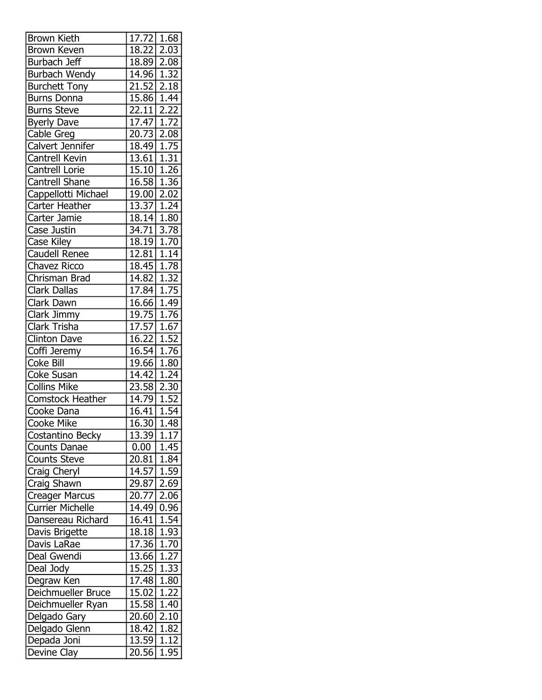| <b>Brown Kieth</b>      | 17.72 1.68         |                   |
|-------------------------|--------------------|-------------------|
| <b>Brown Keven</b>      | 18.22              | 2.03              |
| Burbach Jeff            | 18.89 2.08         |                   |
| Burbach Wendy           | 14.96 1.32         |                   |
| <b>Burchett Tony</b>    | $\overline{21.52}$ | 2.18              |
| <b>Burns Donna</b>      | 15.86              | 1.44              |
| <b>Burns Steve</b>      | 22.11              | 2.22              |
| <b>Byerly Dave</b>      | 17.47              | 1.72              |
| Cable Greg              | $\overline{2}0.73$ | 2.08              |
| Calvert Jennifer        | 18.49              | 1.75              |
| Cantrell Kevin          | 13.61 1.31         |                   |
| Cantrell Lorie          | 15.10 1.26         |                   |
| <b>Cantrell Shane</b>   | 16.58              | 1.36              |
| Cappellotti Michael     | 19.00              | 2.02              |
| Carter Heather          | 13.37 1.24         |                   |
| Carter Jamie            | $18.14$ 1.80       |                   |
| Case Justin             | 34.71              | 3.78              |
| Case Kiley              | 18.19              | 1.70              |
| <b>Caudell Renee</b>    | $12.81$ 1.14       |                   |
| <b>Chavez Ricco</b>     | $18.45$ 1.78       |                   |
| Chrisman Brad           | 14.82              | 1.32              |
| <b>Clark Dallas</b>     | 17.84 1.75         |                   |
| Clark Dawn              | 16.66 1.49         |                   |
| Clark Jimmy             | 19.75              | 1.76              |
| Clark Trisha            | 17.57              | 1.67              |
| <b>Clinton Dave</b>     | 16.22 1.52         |                   |
| Coffi Jeremy            | 16.54              | $\overline{1.76}$ |
| Coke Bill               | 19.66              | 1.80              |
| <b>Coke Susan</b>       | 14.42              | 1.24              |
| <b>Collins Mike</b>     | 23.58 2.30         |                   |
| <b>Comstock Heather</b> | 14.79              | $\overline{1.52}$ |
| Cooke Dana              | $\overline{16.41}$ | 1.54              |
| <b>Cooke Mike</b>       | 16.30              | 1.48              |
| Costantino Becky        | 13.39              | 1.17              |
| Counts Danae            | 0.00               | 1.45              |
| <b>Counts Steve</b>     | 20.81              | 1.84              |
| Craig Cheryl            | 14.57              | 1.59              |
| Craig Shawn             | 29.87              | 2.69              |
| <b>Creager Marcus</b>   | 20.77              | 2.06              |
| <b>Currier Michelle</b> | 14.49              | 0.96              |
| Dansereau Richard       | 16.41              | 1.54              |
| Davis Brigette          | 18.18              | 1.93              |
| Davis LaRae             | 17.36              | 1.70              |
| Deal Gwendi             | 13.66              | 1.27              |
| Deal Jody               | 15.25              | 1.33              |
| Degraw Ken              | 17.48              | 1.80              |
| Deichmueller Bruce      | 15.02              | 1.22              |
| Deichmueller Ryan       | 15.58              | 1.40              |
| Delgado Gary            | 20.60              | 2.10              |
| Delgado Glenn           | 18.42              | 1.82              |
| Depada Joni             | 13.59              | 1.12              |
| Devine Clay             | 20.56              | 1.95              |
|                         |                    |                   |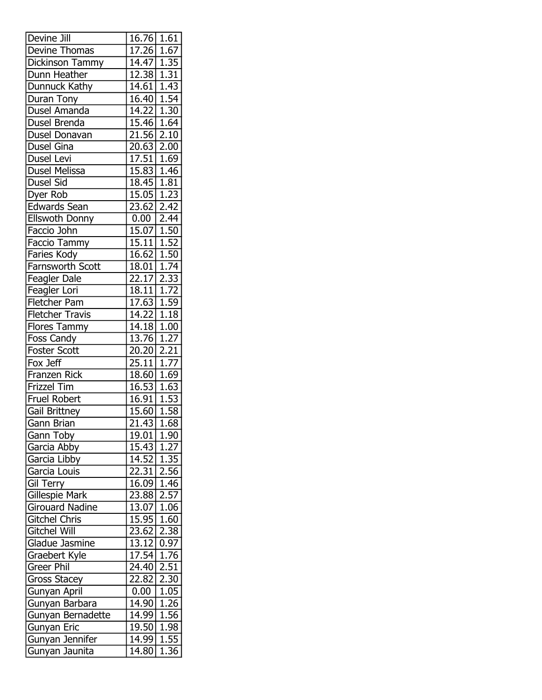| Devine Jill            | 16.76              | 1.61              |
|------------------------|--------------------|-------------------|
| Devine Thomas          | 17.26              | 1.67              |
| Dickinson Tammy        | 14.47 1.35         |                   |
| Dunn Heather           | 12.38              | 1.31              |
| Dunnuck Kathy          | $\overline{14.61}$ | $\overline{1.43}$ |
| Duran Tony             | 16.40              | 1.54              |
| Dusel Amanda           | 14.22              | 1.30              |
| Dusel Brenda           | $\overline{15.46}$ | 1.64              |
| Dusel Donavan          | 21.56              | 2.10              |
| Dusel Gina             | $20.63$   2.00     |                   |
| Dusel Levi             | 17.51 1.69         |                   |
| <b>Dusel Melissa</b>   | 15.83              | 1.46              |
| Dusel Sid              | 18.45              | 1.81              |
| Dyer Rob               | 15.05              | 1.23              |
| <b>Edwards Sean</b>    | 23.62              | 2.42              |
| Ellswoth Donny         | 0.00               | 2.44              |
| Faccio John            | 15.07              | 1.50              |
| Faccio Tammy           | 15.11              | 1.52              |
| Faries Kody            | 16.62              | 1.50              |
| Farnsworth Scott       | 18.01              | 1.74              |
| Feagler Dale           | 22.17              | 2.33              |
| Feagler Lori           | 18.11              | 1.72              |
| Fletcher Pam           | 17.63              | 1.59              |
| <b>Fletcher Travis</b> | 14.22              | 1.18              |
| Flores Tammy           | 14.18              | 1.00              |
| Foss Candy             | 13.76              | 1.27              |
| <b>Foster Scott</b>    | 20.20              | 2.21              |
| Fox Jeff               | 25.11              | 1.77              |
| Franzen Rick           | 18.60              | 1.69              |
| Frizzel Tim            | 16.53              | 1.63              |
| <b>Fruel Robert</b>    | 16.91              | 1.53              |
| Gail Brittney          | 15.60              | 1.58              |
| Gann Brian             | 21.43              | 1.68              |
| Gann Toby              | 19.01              | 1.90              |
| Garcia Abby            | 15.43              | 1.27              |
| Garcia Libby           | 14.52              | 1.35              |
| Garcia Louis           | 22.31              | 2.56              |
| Gil Terry              | $\overline{16.09}$ | 1.46              |
| <b>Gillespie Mark</b>  | 23.88              | 2.57              |
| <b>Girouard Nadine</b> | 13.07              | 1.06              |
| <b>Gitchel Chris</b>   | 15.95              | 1.60              |
| <b>Gitchel Will</b>    | 23.62              | 2.38              |
| Gladue Jasmine         | 13.12              | 0.97              |
| Graebert Kyle          | 17.54              | 1.76              |
| Greer Phil             | 24.40              | 2.51              |
| <b>Gross Stacey</b>    | 22.82              | 2.30              |
| Gunyan April           | 0.00               | 1.05              |
| Gunyan Barbara         | 14.90              | 1.26              |
| Gunyan Bernadette      | 14.99              | 1.56              |
| Gunyan Eric            | 19.50              | 1.98              |
| Gunyan Jennifer        | 14.99              | 1.55              |
| Gunyan Jaunita         | 14.80              | 1.36              |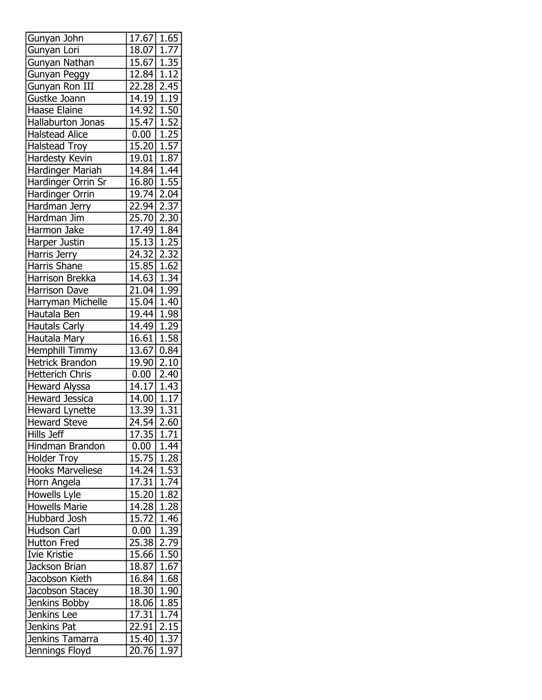| Gunyan John             | 17.67                     | 1.65              |
|-------------------------|---------------------------|-------------------|
| Gunyan Lori             | 18.07                     | 1.77              |
| Gunyan Nathan           | 15.67 1.35                |                   |
| Gunyan Peggy            | $12.84   1.\overline{12}$ |                   |
| Gunyan Ron III          | 22.28 2.45                |                   |
| Gustke Joann            | 14.19 1.19                |                   |
| Haase Elaine            | 14.92 1.50                |                   |
| Hallaburton Jonas       | 15.47 1.52                |                   |
| <b>Halstead Alice</b>   | 0.00                      | 1.25              |
| <b>Halstead Troy</b>    | $\overline{15.20}$   1.57 |                   |
| Hardesty Kevin          | $19.01$ 1.87              |                   |
| <b>Hardinger Mariah</b> | 14.84 1.44                |                   |
| Hardinger Orrin Sr      | 16.80 1.55                |                   |
| Hardinger Orrin         | 19.74                     | 2.04              |
| Hardman Jerry           | 22.94 2.37                |                   |
| Hardman Jim             | 25.70 2.30                |                   |
| Harmon Jake             | $17.49 \mid 1.84$         |                   |
| Harper Justin           | 15.13 1.25                |                   |
| Harris Jerry            | 24.32 2.32                |                   |
| <b>Harris Shane</b>     | $15.85$ 1.62              |                   |
| Harrison Brekka         |                           |                   |
|                         | 14.63 1.34<br>21.04 1.99  |                   |
| <b>Harrison Dave</b>    |                           |                   |
| Harryman Michelle       | 15.04 1.40                |                   |
| Hautala Ben             | 19.44 1.98                |                   |
| <b>Hautals Carly</b>    | 14.49 1.29                |                   |
| Hautala Mary            | 16.61   1.58              |                   |
| <b>Hemphill Timmy</b>   | 13.67                     | 0.84              |
| <b>Hetrick Brandon</b>  | 19.90                     | 2.10              |
| <b>Hetterich Chris</b>  | 0.00                      | 2.40              |
| <b>Heward Alyssa</b>    | 14.17 1.43                |                   |
| <b>Heward Jessica</b>   | 14.00   1.17              |                   |
| <b>Heward Lynette</b>   | $\overline{13.39}$   1.31 |                   |
| <b>Heward Steve</b>     | $24.54$ 2.60              |                   |
| Hills Jeff              | 17.35                     | 1.71              |
| Hindman Brandon         | 0.00                      | $\overline{1}.44$ |
| <b>Holder Troy</b>      | $15.75$ 1.28              |                   |
| <b>Hooks Marveliese</b> | 14.24 1.53                |                   |
| Horn Angela             | 17.31                     | 1.74              |
| Howells Lyle            | 15.20                     | 1.82              |
| <b>Howells Marie</b>    | 14.28                     | 1.28              |
| Hubbard Josh            | 15.72                     | 1.46              |
| Hudson Carl             | 0.00                      | 1.39              |
| <b>Hutton Fred</b>      | 25.38                     | 2.79              |
| Ivie Kristie            | 15.66                     | 1.50              |
| Jackson Brian           | 18.87 1.67                |                   |
| Jacobson Kieth          | 16.84                     | 1.68              |
| Jacobson Stacey         | 18.30                     | 1.90              |
| Jenkins Bobby           | 18.06                     | 1.85              |
| Jenkins Lee             | $\overline{17.31}$        | 1.74              |
| Jenkins Pat             | 22.91                     | 2.15              |
| Jenkins Tamarra         | 15.40                     | 1.37              |
| Jennings Floyd          | 20.76                     | 1.97              |
|                         |                           |                   |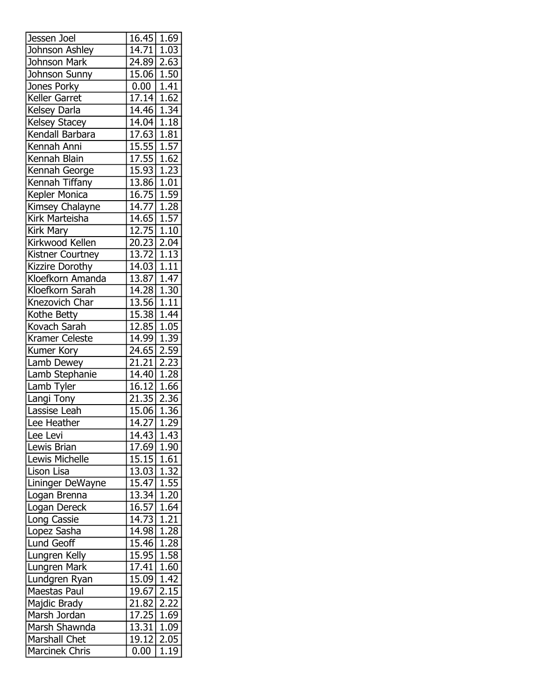| Jessen Joel          | 16.45   1.69                |      |
|----------------------|-----------------------------|------|
| Johnson Ashley       | $\overline{14.71}$ 1.03     |      |
| Johnson Mark         | 24.89 2.63                  |      |
| Johnson Sunny        | $\overline{15.06}$ 1.50     |      |
| Jones Porky          | 0.00                        | 1.41 |
| Keller Garret        | $17.14$ 1.62                |      |
| Kelsey Darla         | 14.46 1.34                  |      |
| <b>Kelsey Stacey</b> | 14.04 1.18                  |      |
| Kendall Barbara      | 17.63   1.81                |      |
| Kennah Anni          | $15.55$ 1.57                |      |
| Kennah Blain         | 17.55 1.62                  |      |
| Kennah George        | 15.93 1.23                  |      |
| Kennah Tiffany       | 13.86 1.01                  |      |
| Kepler Monica        | $16.75$   $1.\overline{59}$ |      |
| Kimsey Chalayne      | 14.77 1.28                  |      |
| Kirk Marteisha       | <u>14.65   1.57 </u>        |      |
| Kirk Mary            | 12.75 1.10                  |      |
| Kirkwood Kellen      | 20.23 2.04                  |      |
| Kistner Courtney     | $13.72$ 1.13                |      |
| Kizzire Dorothy      | $14.03 \overline{)1.11}$    |      |
| Kloefkorn Amanda     | 13.87 1.47                  |      |
| Kloefkorn Sarah      | 14.28 1.30                  |      |
| Knezovich Char       | 13.56 1.11                  |      |
| Kothe Betty          | $\overline{15.38}$ 1.44     |      |
| Kovach Sarah         | $\overline{12.85}$   1.05   |      |
| Kramer Celeste       | 14.99 1.39                  |      |
| Kumer Kory           | 24.65 2.59                  |      |
| Lamb Dewey           | $\overline{21.21}$          | 2.23 |
| Lamb Stephanie       | $\overline{14.40}$ 1.28     |      |
| Lamb Tyler           | 16.12 1.66                  |      |
| Langi Tony           | 21.35 2.36                  |      |
| Lassise Leah         | 15.06 1.36                  |      |
| Lee Heather          | 14.27 1.29                  |      |
| Lee Levi             | 14.43                       | 1.43 |
| Lewis Brian          | $\overline{17.69}$ 1.90     |      |
| Lewis Michelle       | 15.15 1.61                  |      |
| Lison Lisa           | 13.03 1.32                  |      |
| Lininger DeWayne     | $15.47$ 1.55                |      |
| Logan Brenna         | 13.34                       | 1.20 |
| Logan Dereck         | 16.57                       | 1.64 |
| Long Cassie          | 14.73 1.21                  |      |
| Lopez Sasha          | 14.98                       | 1.28 |
| Lund Geoff           | $\overline{15.46}$          | 1.28 |
| Lungren Kelly        | 15.95                       | 1.58 |
| Lungren Mark         | $\overline{17.41}$   1.60   |      |
| Lundgren Ryan        | 15.09                       | 1.42 |
| Maestas Paul         | 19.67                       | 2.15 |
| Majdic Brady         | 21.82                       | 2.22 |
| Marsh Jordan         | 17.25                       | 1.69 |
| Marsh Shawnda        | 13.31                       | 1.09 |
| <b>Marshall Chet</b> | 19.12                       | 2.05 |
| Marcinek Chris       | 0.00                        |      |
|                      |                             | 1.19 |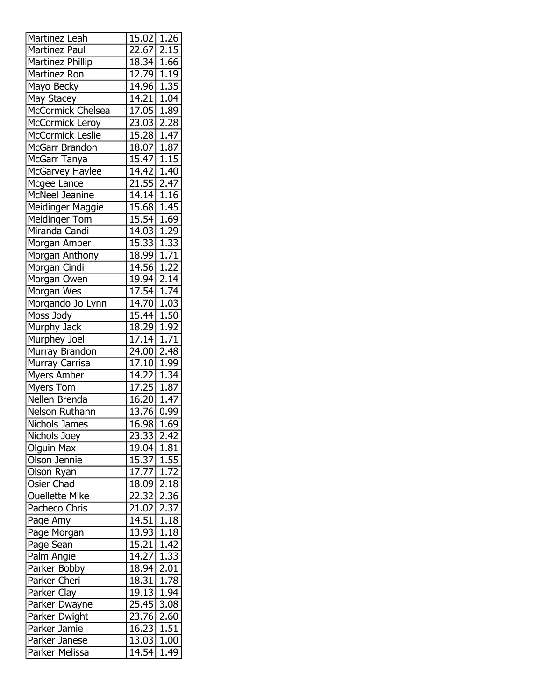| Martinez Leah           | 15.02                   | 1.26              |
|-------------------------|-------------------------|-------------------|
| Martinez Paul           | 22.67                   | 2.15              |
| Martinez Phillip        | 18.34 1.66              |                   |
| Martinez Ron            | $\overline{12.79}$ 1.19 |                   |
| Mayo Becky              | 14.96                   | 1.35              |
| May Stacey              | 14.21                   | 1.04              |
| McCormick Chelsea       | 17.05                   | 1.89              |
| McCormick Leroy         | $\overline{2}3.03$      | 2.28              |
| <b>McCormick Leslie</b> | 15.28                   | 1.47              |
| McGarr Brandon          | 18.07 1.87              |                   |
| McGarr Tanya            | $15.47$ 1.15            |                   |
| McGarvey Haylee         | 14.42                   | $\overline{1.40}$ |
| Mcgee Lance             | 21.55                   | 2.47              |
| McNeel Jeanine          | 14.14 1.16              |                   |
| Meidinger Maggie        | $\overline{15.68}$      | 1.45              |
| Meidinger Tom           | 15.54                   | 1.69              |
| Miranda Candi           | 14.03                   | 1.29              |
| Morgan Amber            | 15.33 1.33              |                   |
| Morgan Anthony          | 18.99                   | 1.71              |
| Morgan Cindi            | 14.56                   | 1.22              |
| Morgan Owen             | 19.94                   | 2.14              |
| Morgan Wes              | 17.54 1.74              |                   |
| Morgando Jo Lynn        | 14.70                   | $\overline{1}.03$ |
| Moss Jody               | $\overline{15.44}$      | 1.50              |
| Murphy Jack             | 18.29 1.92              |                   |
| Murphey Joel            | 17.14                   | 1.71              |
| Murray Brandon          | 24.00                   | 2.48              |
| Murray Carrisa          | 17.10                   | 1.99              |
| <b>Myers Amber</b>      | 14.22                   | 1.34              |
| Myers Tom               | 17.25                   | 1.87              |
| Nellen Brenda           | 16.20   1.47            |                   |
| Nelson Ruthann          | 13.76 0.99              |                   |
| Nichols James           | 16.98 1.69              |                   |
| <b>Nichols Joey</b>     | 23.33                   | 2.42              |
| Olguin Max              | 19.04                   | 1.81              |
| Olson Jennie            | 15.37 1.55              |                   |
| Olson Ryan              | 17.77                   | 1.72              |
| Osier Chad              | 18.09                   | 2.18              |
| <b>Ouellette Mike</b>   | 22.32                   | 2.36              |
|                         |                         |                   |
| Pacheco Chris           | 21.02                   | 2.37              |
| Page Amy                | 14.51                   | 1.18              |
| Page Morgan             | 13.93                   | $\overline{1.18}$ |
| Page Sean               | 15.21                   | 1.42              |
| Palm Angie              | 14.27 1.33              |                   |
| Parker Bobby            | 18.94                   | 2.01              |
| Parker Cheri            | 18.31                   | 1.78              |
| Parker Clay             | 19.13                   | 1.94              |
| Parker Dwayne           | 25.45                   | 3.08              |
| <b>Parker Dwight</b>    | 23.76                   | 2.60              |
| Parker Jamie            | 16.23                   | 1.51              |
| Parker Janese           | 13.03 1.00              |                   |
| Parker Melissa          | 14.54                   | $\overline{1.49}$ |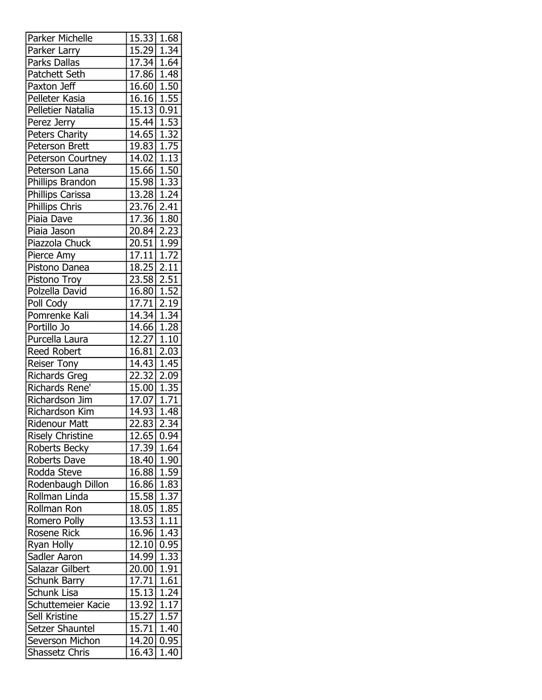| Parker Michelle         | 15.33                   | 1.68              |
|-------------------------|-------------------------|-------------------|
| Parker Larry            | 15.29                   | 1.34              |
| Parks Dallas            | 17.34   1.64            |                   |
| Patchett Seth           | 17.86 1.48              |                   |
| Paxton Jeff             | 16.60   1.50            |                   |
| Pelleter Kasia          | 16.16                   | 1.55              |
| Pelletier Natalia       | 15.13                   | 0.91              |
| Perez Jerry             | 15.44                   | 1.53              |
| Peters Charity          | 14.65                   | 1.32              |
| Peterson Brett          | 19.83                   | $\overline{1.75}$ |
| Peterson Courtney       | 14.02 1.13              |                   |
| Peterson Lana           | 15.66                   | 1.50              |
| Phillips Brandon        | 15.98                   | 1.33              |
| Phillips Carissa        | 13.28                   | 1.24              |
| Phillips Chris          | 23.76 2.41              |                   |
| Piaia Dave              | 17.36                   | 1.80              |
| Piaia Jason             | 20.84                   | 2.23              |
| Piazzola Chuck          | 20.51                   | 1.99              |
| Pierce Amy              | 17.11                   | $\overline{1.72}$ |
| Pistono Danea           | $\overline{18.25}$      | 2.11              |
| Pistono Troy            | 23.58                   | 2.51              |
| Polzella David          | 16.80 1.52              |                   |
| Poll Cody               | 17.71                   | 2.19              |
| Pomrenke Kali           | 14.34 1.34              |                   |
| Portillo Jo             | 14.66 1.28              |                   |
| Purcella Laura          | $\overline{12.27}$ 1.10 |                   |
| <b>Reed Robert</b>      | 16.81                   | 2.03              |
| <b>Reiser Tony</b>      | 14.43                   | 1.45              |
| <b>Richards Greg</b>    | 22.32 2.09              |                   |
| Richards Rene'          | 15.00 1.35              |                   |
| Richardson Jim          | 17.07                   | $\boxed{1.71}$    |
| Richardson Kim          | $\overline{14.93}$ 1.48 |                   |
| <b>Ridenour Matt</b>    | 22.83 2.34              |                   |
| <b>Risely Christine</b> | $\overline{12.65}$      | 0.94              |
| Roberts Becky           | 17.39                   | 1.64              |
| Roberts Dave            | 18.40 1.90              |                   |
| Rodda Steve             | 16.88                   | 1.59              |
| Rodenbaugh Dillon       | 16.86                   | 1.83              |
| Rollman Linda           | 15.58                   | 1.37              |
| Rollman Ron             | 18.05                   | 1.85              |
| Romero Polly            | 13.53                   | 1.11              |
| Rosene Rick             | 16.96                   | 1.43              |
| Ryan Holly              | 12.10                   | 0.95              |
| Sadler Aaron            | 14.99                   | 1.33              |
| Salazar Gilbert         | 20.00                   | 1.91              |
| Schunk Barry            | 17.71                   | 1.61              |
| Schunk Lisa             | 15.13                   | 1.24              |
| Schuttemeier Kacie      | 13.92                   | 1.17              |
| Sell Kristine           | 15.27                   | 1.57              |
| Setzer Shauntel         | 15.71                   | 1.40              |
| Severson Michon         | 14.20                   | 0.95              |
| Shassetz Chris          | 16.43                   | 1.40              |
|                         |                         |                   |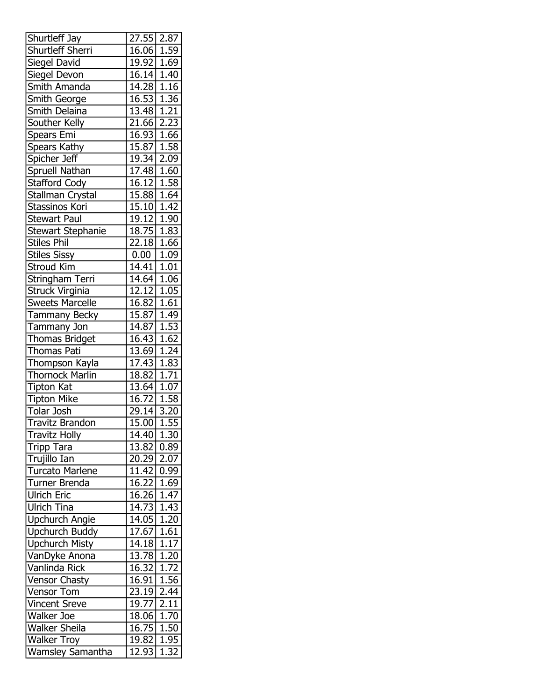| Shurtleff Jay            | 27.55                   | 2.87              |
|--------------------------|-------------------------|-------------------|
| Shurtleff Sherri         | 16.06 1.59              |                   |
| Siegel David             | 19.92 1.69              |                   |
| Siegel Devon             | $16.14$ 1.40            |                   |
| Smith Amanda             | $\overline{14.28}$      | $1.\overline{16}$ |
| Smith George             | 16.53                   | 1.36              |
| Smith Delaina            | 13.48 1.21              |                   |
| Souther Kelly            | $\overline{21.66}$      | 2.23              |
| Spears Emi               | 16.93                   | 1.66              |
| Spears Kathy             | 15.87 1.58              |                   |
| Spicher Jeff             | $\overline{19.34}$ 2.09 |                   |
| <b>Spruell Nathan</b>    | 17.48                   | 1.60              |
| <b>Stafford Cody</b>     | 16.12                   | 1.58              |
| Stallman Crystal         | 15.88                   | 1.64              |
| Stassinos Kori           | 15.10                   | 1.42              |
| <b>Stewart Paul</b>      | 19.12                   | 1.90              |
| <b>Stewart Stephanie</b> | 18.75                   | 1.83              |
| <b>Stiles Phil</b>       | 22.18                   | 1.66              |
| <b>Stiles Sissy</b>      | 0.00                    | $\overline{1.09}$ |
| Stroud Kim               | 14.41                   | 1.01              |
| Stringham Terri          | 14.64                   | 1.06              |
| Struck Virginia          | 12.12 1.05              |                   |
| <b>Sweets Marcelle</b>   | 16.82                   | 1.61              |
| Tammany Becky            | 15.87                   | 1.49              |
| Tammany Jon              | 14.87                   | 1.53              |
| Thomas Bridget           | 16.43                   | 1.62              |
| <b>Thomas Pati</b>       | $\overline{13.69}$      | 1.24              |
| Thompson Kayla           | 17.43                   | 1.83              |
| <b>Thornock Marlin</b>   | 18.82                   | 1.71              |
| <b>Tipton Kat</b>        | $13.64$ 1.07            |                   |
| <b>Tipton Mike</b>       | 16.72                   | 1.58              |
| <b>Tolar Josh</b>        | 29.14                   | 3.20              |
| <b>Travitz Brandon</b>   | $\overline{15.00}$      | 1.55              |
| <b>Travitz Holly</b>     | 14.40                   | 1.30              |
| <b>Tripp Tara</b>        | 13.82                   | 0.89              |
| Trujillo Ian             | 20.29                   | 2.07              |
| <b>Turcato Marlene</b>   | 11.42                   | 0.99              |
| Turner Brenda            | 16.22                   | 1.69              |
| <b>Ulrich Eric</b>       | 16.26                   | 1.47              |
| <b>Ulrich Tina</b>       | 14.73                   | 1.43              |
| Upchurch Angie           | 14.05                   | 1.20              |
| Upchurch Buddy           | 17.67                   | 1.61              |
| <b>Upchurch Misty</b>    | 14.18                   | 1.17              |
| VanDyke Anona            | 13.78                   | 1.20              |
| Vanlinda Rick            | 16.32                   | $\overline{1.72}$ |
| <b>Vensor Chasty</b>     | 16.91                   | 1.56              |
| <b>Vensor Tom</b>        | 23.19                   | 2.44              |
| <b>Vincent Sreve</b>     | 19.77                   | 2.11              |
| Walker Joe               | 18.06                   | $\overline{1.70}$ |
| <b>Walker Sheila</b>     | 16.75                   | 1.50              |
| <b>Walker Troy</b>       | 19.82                   | 1.95              |
| <b>Wamsley Samantha</b>  | 12.93                   | 1.32              |
|                          |                         |                   |